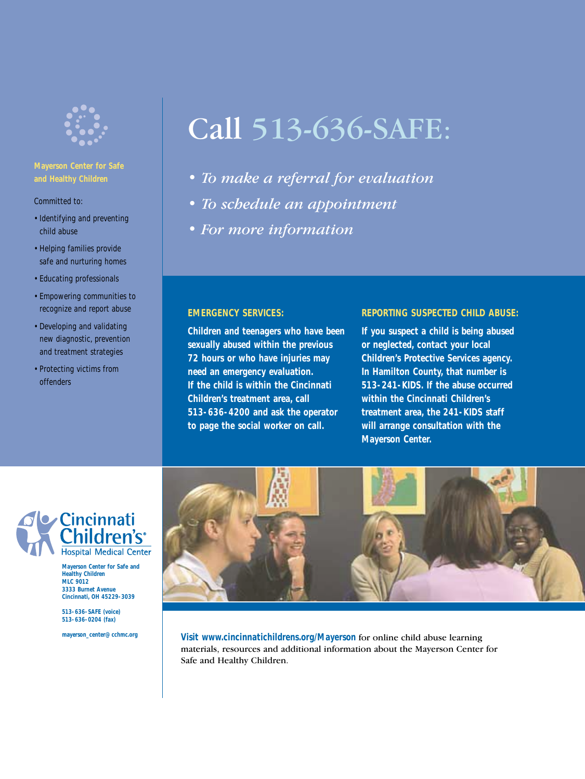

### **and Healthy Children**

Committed to:

- Identifying and preventing child abuse
- Helping families provide safe and nurturing homes
- Educating professionals
- Empowering communities to recognize and report abuse
- Developing and validating new diagnostic, prevention and treatment strategies
- Protecting victims from offenders

# Call 513-636-SAFE:

- *To make a referral for evaluation*
- *To schedule an appointment*
- *For more information*

#### **EMERGENCY SERVICES:**

**Children and teenagers who have been sexually abused within the previous 72 hours or who have injuries may need an emergency evaluation. If the child is within the Cincinnati Children's treatment area, call 513-636-4200 and ask the operator to page the social worker on call.**

#### **REPORTING SUSPECTED CHILD ABUSE:**

**If you suspect a child is being abused or neglected, contact your local Children's Protective Services agency. In Hamilton County, that number is 513-241-KIDS. If the abuse occurred within the Cincinnati Children's treatment area, the 241-KIDS staff will arrange consultation with the Mayerson Center.**



**Mayerson Center for Safe and Healthy Children MLC 9012 3333 Burnet Avenue Cincinnati, OH 45229-3039**

**513-636-SAFE (voice) 513-636-0204 (fax)**

**mayerson\_center@cchmc.org**



**Visit www.cincinnatichildrens.org/Mayerson** for online child abuse learning materials, resources and additional information about the Mayerson Center for Safe and Healthy Children.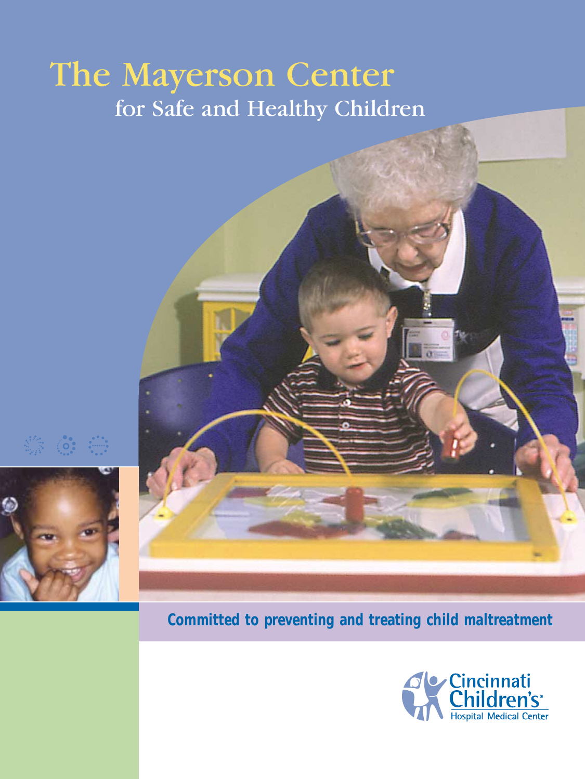## for Safe and Healthy Children The Mayerson Center



**Committed to preventing and treating child maltreatment**

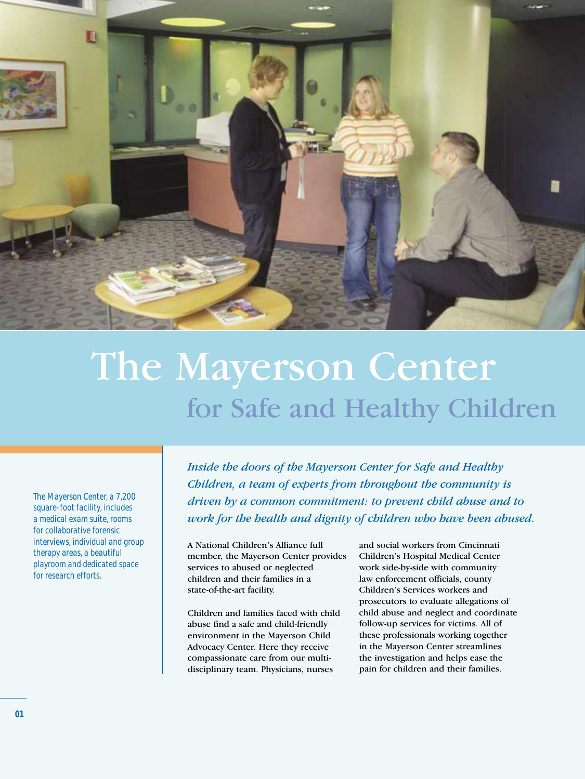

# The Mayerson Center for Safe and Healthy Children

*The Mayerson Center, a 7,200 square-foot facility, includes a medical exam suite, rooms for collaborative forensic interviews, individual and group therapy areas, a beautiful playroom and dedicated space for research efforts.*

*Inside the doors of the Mayerson Center for Safe and Healthy Children, a team of experts from throughout the community is driven by a common commitment: to prevent child abuse and to work for the health and dignity of children who have been abused.*

A National Children's Alliance full member, the Mayerson Center provides services to abused or neglected children and their families in a state-of-the-art facility.

Children and families faced with child abuse find a safe and child-friendly environment in the Mayerson Child Advocacy Center. Here they receive compassionate care from our multidisciplinary team. Physicians, nurses

and social workers from Cincinnati Children's Hospital Medical Center work side-by-side with community law enforcement officials, county Children's Services workers and prosecutors to evaluate allegations of child abuse and neglect and coordinate follow-up services for victims. All of these professionals working together in the Mayerson Center streamlines the investigation and helps ease the pain for children and their families.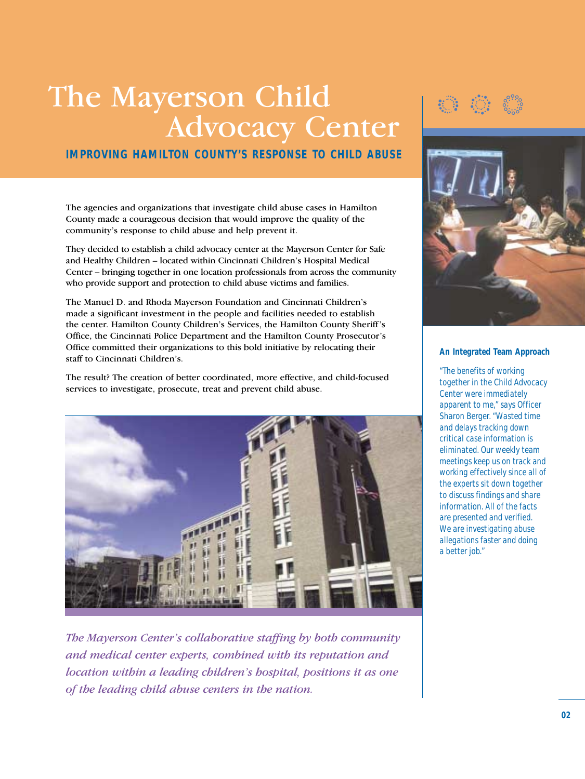### The Mayerson Child Advocacy Center

**IMPROVING HAMILTON COUNTY'S RESPONSE TO CHILD ABUSE** 

The agencies and organizations that investigate child abuse cases in Hamilton County made a courageous decision that would improve the quality of the community's response to child abuse and help prevent it.

They decided to establish a child advocacy center at the Mayerson Center for Safe and Healthy Children – located within Cincinnati Children's Hospital Medical Center – bringing together in one location professionals from across the community who provide support and protection to child abuse victims and families.

The Manuel D. and Rhoda Mayerson Foundation and Cincinnati Children's made a significant investment in the people and facilities needed to establish the center. Hamilton County Children's Services, the Hamilton County Sheriff's Office, the Cincinnati Police Department and the Hamilton County Prosecutor's Office committed their organizations to this bold initiative by relocating their staff to Cincinnati Children's.

The result? The creation of better coordinated, more effective, and child-focused services to investigate, prosecute, treat and prevent child abuse.



*The Mayerson Center's collaborative staffing by both community and medical center experts, combined with its reputation and location within a leading children's hospital, positions it as one of the leading child abuse centers in the nation.*





#### **An Integrated Team Approach**

*"The benefits of working together in the Child Advocacy Center were immediately apparent to me," says Officer Sharon Berger. "Wasted time and delays tracking down critical case information is eliminated. Our weekly team meetings keep us on track and working effectively since all of the experts sit down together to discuss findings and share information. All of the facts are presented and verified. We are investigating abuse allegations faster and doing a better job."*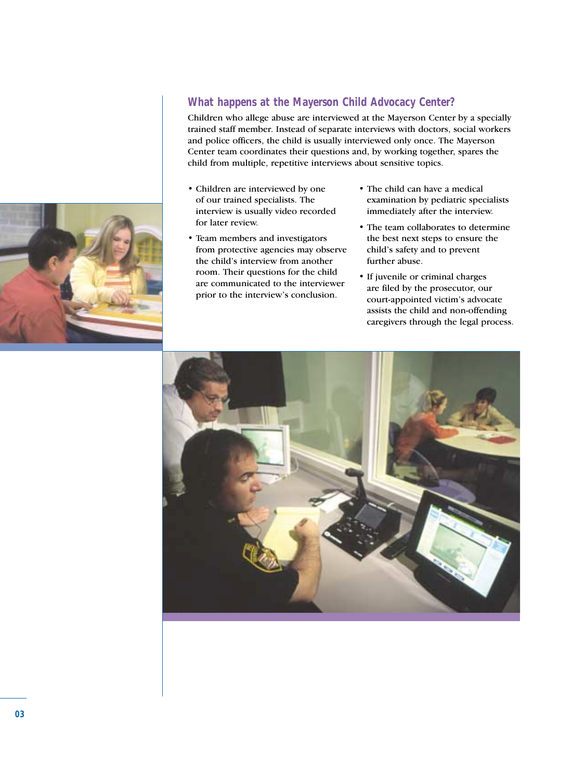#### **What happens at the Mayerson Child Advocacy Center?**

Children who allege abuse are interviewed at the Mayerson Center by a specially trained staff member. Instead of separate interviews with doctors, social workers and police officers, the child is usually interviewed only once. The Mayerson Center team coordinates their questions and, by working together, spares the child from multiple, repetitive interviews about sensitive topics.

- Children are interviewed by one of our trained specialists. The interview is usually video recorded for later review.
- Team members and investigators from protective agencies may observe the child's interview from another room. Their questions for the child are communicated to the interviewer prior to the interview's conclusion.
- The child can have a medical examination by pediatric specialists immediately after the interview.
- The team collaborates to determine the best next steps to ensure the child's safety and to prevent further abuse.
- If juvenile or criminal charges are filed by the prosecutor, our court-appointed victim's advocate assists the child and non-offending caregivers through the legal process.

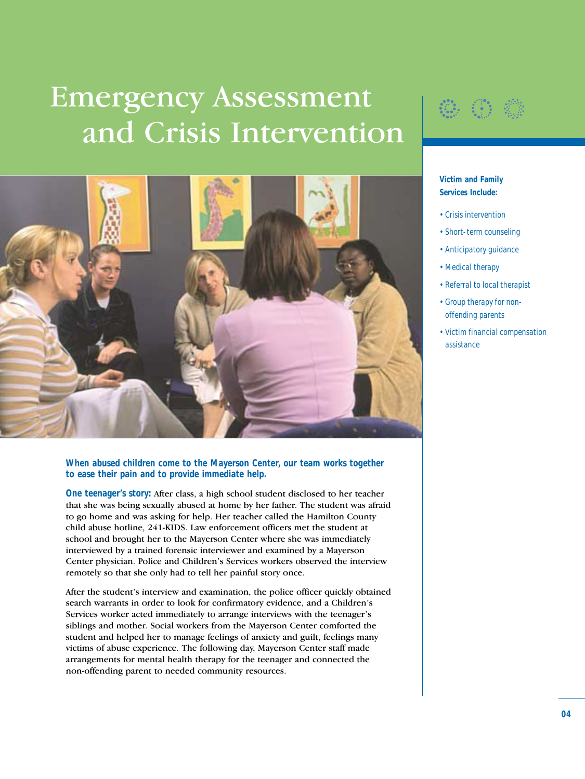# Emergency Assessment and Crisis Intervention



#### **When abused children come to the Mayerson Center, our team works together to ease their pain and to provide immediate help.**

**One teenager's story:** After class, a high school student disclosed to her teacher that she was being sexually abused at home by her father. The student was afraid to go home and was asking for help. Her teacher called the Hamilton County child abuse hotline, 241-KIDS. Law enforcement officers met the student at school and brought her to the Mayerson Center where she was immediately interviewed by a trained forensic interviewer and examined by a Mayerson Center physician. Police and Children's Services workers observed the interview remotely so that she only had to tell her painful story once.

After the student's interview and examination, the police officer quickly obtained search warrants in order to look for confirmatory evidence, and a Children's Services worker acted immediately to arrange interviews with the teenager's siblings and mother. Social workers from the Mayerson Center comforted the student and helped her to manage feelings of anxiety and guilt, feelings many victims of abuse experience. The following day, Mayerson Center staff made arrangements for mental health therapy for the teenager and connected the non-offending parent to needed community resources.



**Victim and Family Services Include:**

- *Crisis intervention*
- *Short-term counseling*
- *Anticipatory guidance*
- *Medical therapy*
- *Referral to local therapist*
- *Group therapy for nonoffending parents*
- *Victim financial compensation assistance*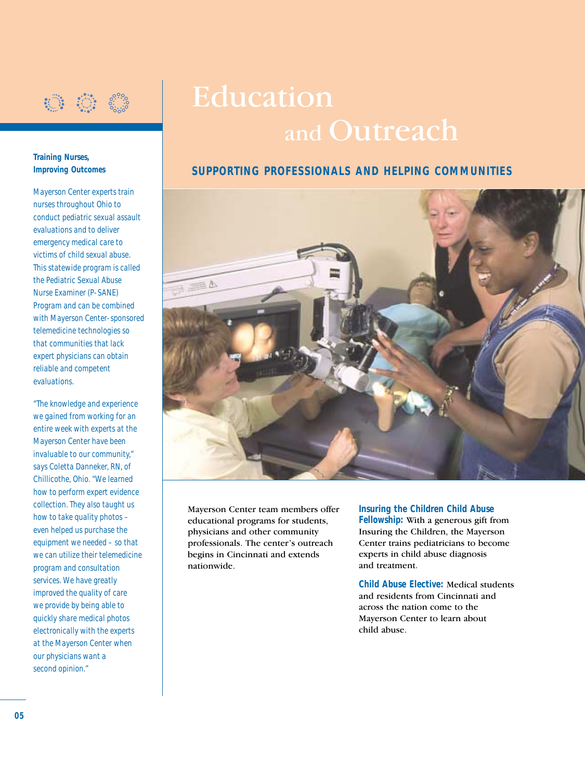

## Education and Outreach

### **SUPPORTING PROFESSIONALS AND HELPING COMMUNITIES**



Mayerson Center team members offer educational programs for students, physicians and other community professionals. The center's outreach begins in Cincinnati and extends nationwide.

**Insuring the Children Child Abuse Fellowship:** With a generous gift from Insuring the Children, the Mayerson Center trains pediatricians to become experts in child abuse diagnosis and treatment.

**Child Abuse Elective:** Medical students and residents from Cincinnati and across the nation come to the Mayerson Center to learn about child abuse.

#### **Training Nurses, Improving Outcomes**

*Mayerson Center experts train nurses throughout Ohio to conduct pediatric sexual assault evaluations and to deliver emergency medical care to victims of child sexual abuse. This statewide program is called the Pediatric Sexual Abuse Nurse Examiner (P-SANE) Program and can be combined with Mayerson Center-sponsored telemedicine technologies so that communities that lack expert physicians can obtain reliable and competent evaluations.*

*"The knowledge and experience we gained from working for an entire week with experts at the Mayerson Center have been invaluable to our community," says Coletta Danneker, RN, of Chillicothe, Ohio. "We learned how to perform expert evidence collection. They also taught us how to take quality photos – even helped us purchase the equipment we needed – so that we can utilize their telemedicine program and consultation services. We have greatly improved the quality of care we provide by being able to quickly share medical photos electronically with the experts at the Mayerson Center when our physicians want a second opinion."*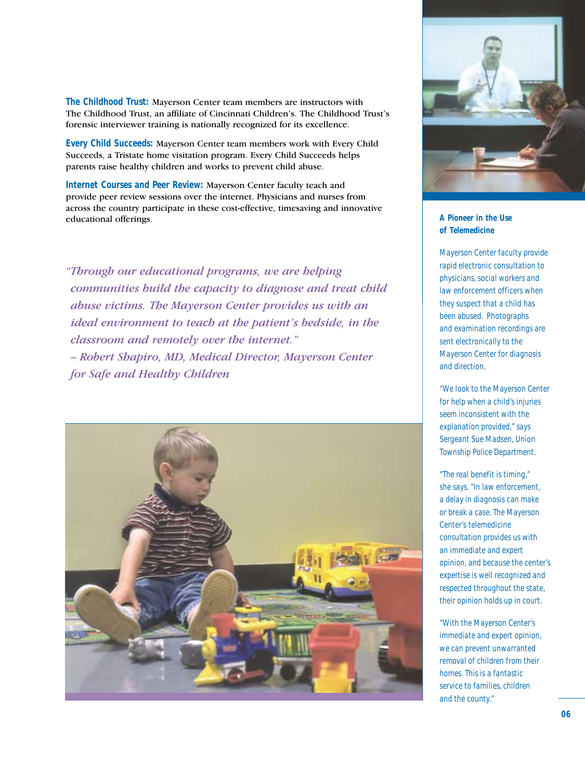**The Childhood Trust:** Mayerson Center team members are instructors with The Childhood Trust, an affiliate of Cincinnati Children's. The Childhood Trust's forensic interviewer training is nationally recognized for its excellence.

**Every Child Succeeds:** Mayerson Center team members work with Every Child Succeeds, a Tristate home visitation program. Every Child Succeeds helps parents raise healthy children and works to prevent child abuse.

**Internet Courses and Peer Review:** Mayerson Center faculty teach and provide peer review sessions over the internet. Physicians and nurses from across the country participate in these cost-effective, timesaving and innovative **educational offerings. A Pioneer in the Use** 

*"Through our educational programs, we are helping communities build the capacity to diagnose and treat child abuse victims. The Mayerson Center provides us with an ideal environment to teach at the patient's bedside, in the classroom and remotely over the internet." – Robert Shapiro, MD, Medical Director, Mayerson Center for Safe and Healthy Children*





### **of Telemedicine**

*Mayerson Center faculty provide rapid electronic consultation to physicians, social workers and law enforcement officers when they suspect that a child has been abused. Photographs and examination recordings are sent electronically to the Mayerson Center for diagnosis and direction.*

*"We look to the Mayerson Center for help when a child's injuries seem inconsistent with the explanation provided," says Sergeant Sue Madsen, Union Township Police Department.*

*"The real benefit is timing," she says. "In law enforcement, a delay in diagnosis can make or break a case. The Mayerson Center's telemedicine consultation provides us with an immediate and expert opinion, and because the center's expertise is well recognized and respected throughout the state, their opinion holds up in court.*

*"With the Mayerson Center's immediate and expert opinion, we can prevent unwarranted removal of children from their homes. This is a fantastic service to families, children and the county."*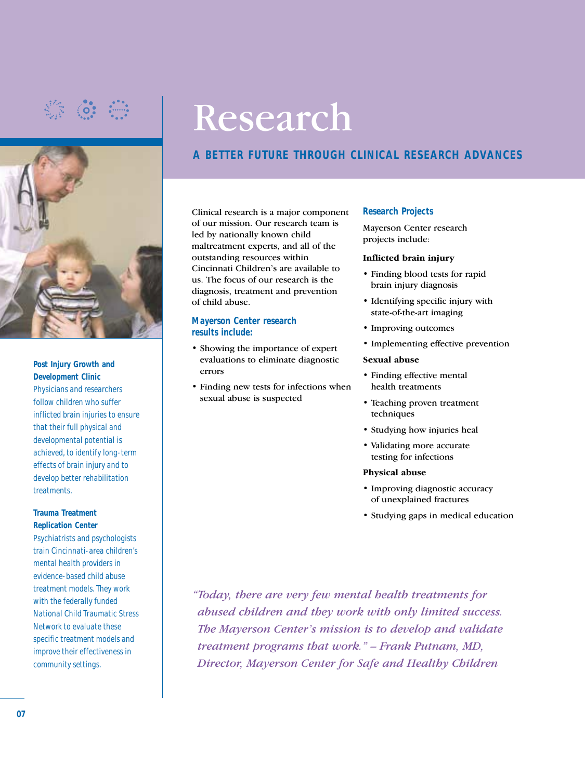

**Post Injury Growth and Development Clinic** *Physicians and researchers follow children who suffer inflicted brain injuries to ensure that their full physical and developmental potential is achieved, to identify long-term effects of brain injury and to develop better rehabilitation treatments.*

#### **Trauma Treatment Replication Center**

*Psychiatrists and psychologists train Cincinnati-area children's mental health providers in evidence-based child abuse treatment models. They work with the federally funded National Child Traumatic Stress Network to evaluate these specific treatment models and improve their effectiveness in community settings.*

# Research

### **A BETTER FUTURE THROUGH CLINICAL RESEARCH ADVANCES**

Clinical research is a major component of our mission. Our research team is led by nationally known child maltreatment experts, and all of the outstanding resources within Cincinnati Children's are available to us. The focus of our research is the diagnosis, treatment and prevention of child abuse.

#### **Mayerson Center research results include:**

- Showing the importance of expert evaluations to eliminate diagnostic errors
- Finding new tests for infections when sexual abuse is suspected

#### **Research Projects**

Mayerson Center research projects include:

#### **Inflicted brain injury**

- Finding blood tests for rapid brain injury diagnosis
- Identifying specific injury with state-of-the-art imaging
- Improving outcomes
- Implementing effective prevention

#### **Sexual abuse**

- Finding effective mental health treatments
- Teaching proven treatment techniques
- Studying how injuries heal
- Validating more accurate testing for infections

#### **Physical abuse**

- Improving diagnostic accuracy of unexplained fractures
- Studying gaps in medical education

*"Today, there are very few mental health treatments for abused children and they work with only limited success. The Mayerson Center's mission is to develop and validate treatment programs that work." – Frank Putnam, MD, Director, Mayerson Center for Safe and Healthy Children*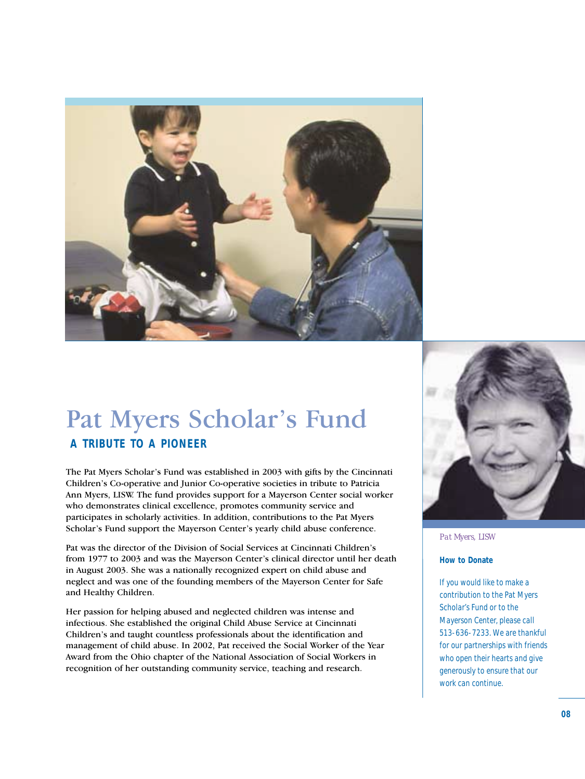

### Pat Myers Scholar's Fund

### **A TRIBUTE TO A PIONEER**

The Pat Myers Scholar's Fund was established in 2003 with gifts by the Cincinnati Children's Co-operative and Junior Co-operative societies in tribute to Patricia Ann Myers, LISW. The fund provides support for a Mayerson Center social worker who demonstrates clinical excellence, promotes community service and participates in scholarly activities. In addition, contributions to the Pat Myers Scholar's Fund support the Mayerson Center's yearly child abuse conference.

Pat was the director of the Division of Social Services at Cincinnati Children's from 1977 to 2003 and was the Mayerson Center's clinical director until her death in August 2003. She was a nationally recognized expert on child abuse and neglect and was one of the founding members of the Mayerson Center for Safe and Healthy Children.

Her passion for helping abused and neglected children was intense and infectious. She established the original Child Abuse Service at Cincinnati Children's and taught countless professionals about the identification and management of child abuse. In 2002, Pat received the Social Worker of the Year Award from the Ohio chapter of the National Association of Social Workers in recognition of her outstanding community service, teaching and research.



*Pat Myers, LISW*

#### **How to Donate**

*If you would like to make a contribution to the Pat Myers Scholar's Fund or to the Mayerson Center, please call 513-636-7233. We are thankful for our partnerships with friends who open their hearts and give generously to ensure that our work can continue.*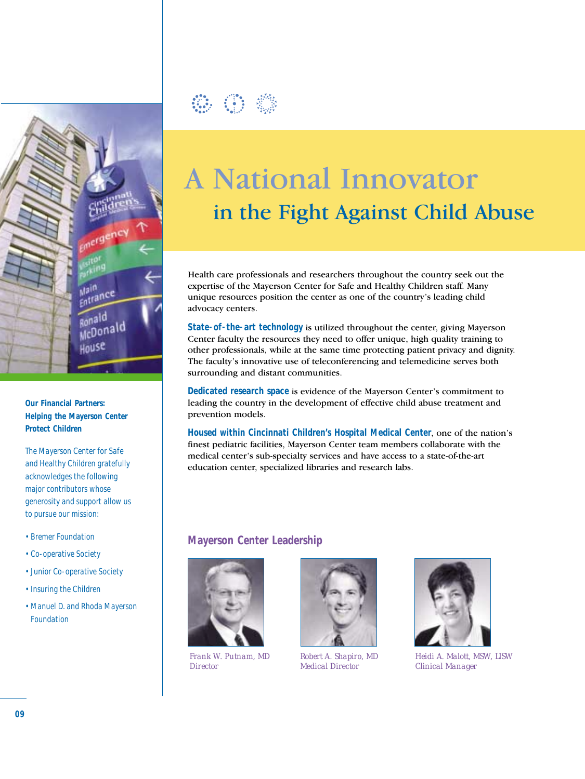

**Our Financial Partners: Helping the Mayerson Center Protect Children** 

*The Mayerson Center for Safe and Healthy Children gratefully acknowledges the following major contributors whose generosity and support allow us to pursue our mission:*

- *Bremer Foundation*
- *Co-operative Society*
- *Junior Co-operative Society*
- *Insuring the Children*
- *Manuel D. and Rhoda Mayerson Foundation*



### A National Innovator in the Fight Against Child Abuse

Health care professionals and researchers throughout the country seek out the expertise of the Mayerson Center for Safe and Healthy Children staff. Many unique resources position the center as one of the country's leading child advocacy centers.

**State-of-the-art technology** is utilized throughout the center, giving Mayerson Center faculty the resources they need to offer unique, high quality training to other professionals, while at the same time protecting patient privacy and dignity. The faculty's innovative use of teleconferencing and telemedicine serves both surrounding and distant communities.

**Dedicated research space** is evidence of the Mayerson Center's commitment to leading the country in the development of effective child abuse treatment and prevention models.

**Housed within Cincinnati Children's Hospital Medical Center**, one of the nation's finest pediatric facilities, Mayerson Center team members collaborate with the medical center's sub-specialty services and have access to a state-of-the-art education center, specialized libraries and research labs.

#### **Mayerson Center Leadership**



*Frank W. Putnam, MD Director*



*Robert A. Shapiro, MD Medical Director*



*Heidi A. Malott, MSW, LISW Clinical Manager*